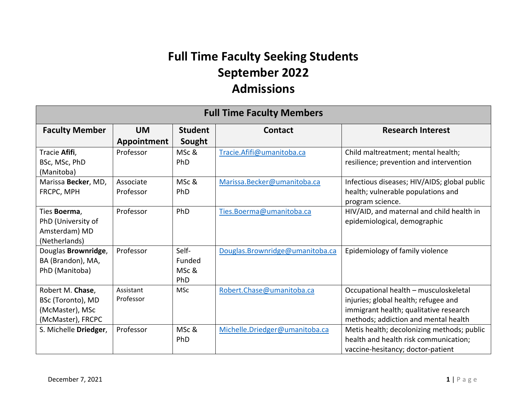## **Full Time Faculty Seeking Students September 2022 Admissions**

| <b>Full Time Faculty Members</b>                                              |                          |                                 |                                 |                                                                                                                                                                 |  |
|-------------------------------------------------------------------------------|--------------------------|---------------------------------|---------------------------------|-----------------------------------------------------------------------------------------------------------------------------------------------------------------|--|
| <b>Faculty Member</b>                                                         | <b>UM</b><br>Appointment | <b>Student</b><br>Sought        | <b>Contact</b>                  | <b>Research Interest</b>                                                                                                                                        |  |
| Tracie Afifi,<br>BSc, MSc, PhD<br>(Manitoba)                                  | Professor                | MSc &<br>PhD                    | Tracie.Afifi@umanitoba.ca       | Child maltreatment; mental health;<br>resilience; prevention and intervention                                                                                   |  |
| Marissa Becker, MD,<br>FRCPC, MPH                                             | Associate<br>Professor   | MSc &<br>PhD                    | Marissa.Becker@umanitoba.ca     | Infectious diseases; HIV/AIDS; global public<br>health; vulnerable populations and<br>program science.                                                          |  |
| Ties Boerma,<br>PhD (University of<br>Amsterdam) MD<br>(Netherlands)          | Professor                | PhD                             | Ties.Boerma@umanitoba.ca        | HIV/AID, and maternal and child health in<br>epidemiological, demographic                                                                                       |  |
| Douglas Brownridge,<br>BA (Brandon), MA,<br>PhD (Manitoba)                    | Professor                | Self-<br>Funded<br>MSc &<br>PhD | Douglas.Brownridge@umanitoba.ca | Epidemiology of family violence                                                                                                                                 |  |
| Robert M. Chase,<br>BSc (Toronto), MD<br>(McMaster), MSc<br>(McMaster), FRCPC | Assistant<br>Professor   | <b>MSc</b>                      | Robert.Chase@umanitoba.ca       | Occupational health - musculoskeletal<br>injuries; global health; refugee and<br>immigrant health; qualitative research<br>methods; addiction and mental health |  |
| S. Michelle Driedger,                                                         | Professor                | MSc &<br>PhD                    | Michelle.Driedger@umanitoba.ca  | Metis health; decolonizing methods; public<br>health and health risk communication;<br>vaccine-hesitancy; doctor-patient                                        |  |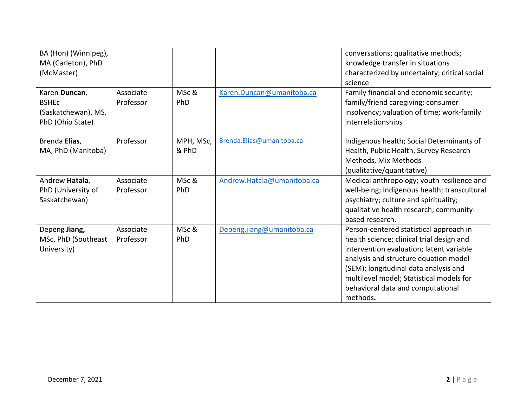| BA (Hon) (Winnipeg),<br>MA (Carleton), PhD<br>(McMaster)                 |                        |                    |                            | conversations; qualitative methods;<br>knowledge transfer in situations<br>characterized by uncertainty; critical social<br>science                                                                                                                                                                             |
|--------------------------------------------------------------------------|------------------------|--------------------|----------------------------|-----------------------------------------------------------------------------------------------------------------------------------------------------------------------------------------------------------------------------------------------------------------------------------------------------------------|
| Karen Duncan,<br><b>BSHEC</b><br>(Saskatchewan), MS,<br>PhD (Ohio State) | Associate<br>Professor | MSc &<br>PhD       | Karen.Duncan@umanitoba.ca  | Family financial and economic security;<br>family/friend caregiving; consumer<br>insolvency; valuation of time; work-family<br>interrelationships                                                                                                                                                               |
| Brenda Elias,<br>MA, PhD (Manitoba)                                      | Professor              | MPH, MSc,<br>& PhD | Brenda.Elias@umanitoba.ca  | Indigenous health; Social Determinants of<br>Health, Public Health, Survey Research<br>Methods, Mix Methods<br>(qualitative/quantitative)                                                                                                                                                                       |
| Andrew Hatala,<br>PhD (University of<br>Saskatchewan)                    | Associate<br>Professor | MSc &<br>PhD       | Andrew.Hatala@umanitoba.ca | Medical anthropology; youth resilience and<br>well-being; Indigenous health; transcultural<br>psychiatry; culture and spirituality;<br>qualitative health research; community-<br>based research.                                                                                                               |
| Depeng Jiang,<br>MSc, PhD (Southeast<br>University)                      | Associate<br>Professor | MSc &<br>PhD       | Depeng.jiang@umanitoba.ca  | Person-centered statistical approach in<br>health science; clinical trial design and<br>intervention evaluation; latent variable<br>analysis and structure equation model<br>(SEM); longitudinal data analysis and<br>multilevel model; Statistical models for<br>behavioral data and computational<br>methods. |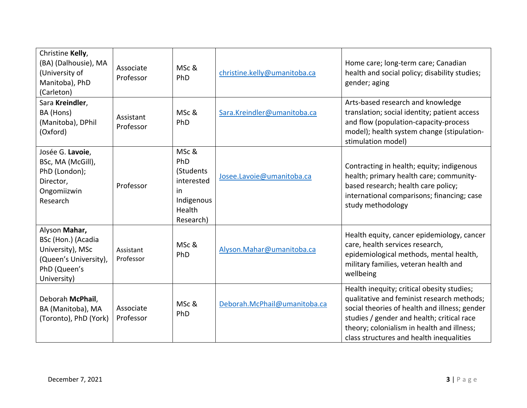| Christine Kelly,<br>(BA) (Dalhousie), MA<br>(University of<br>Manitoba), PhD<br>(Carleton)                      | Associate<br>Professor | MSc &<br>PhD                                                                       | christine.kelly@umanitoba.ca | Home care; long-term care; Canadian<br>health and social policy; disability studies;<br>gender; aging                                                                                                                                                                             |
|-----------------------------------------------------------------------------------------------------------------|------------------------|------------------------------------------------------------------------------------|------------------------------|-----------------------------------------------------------------------------------------------------------------------------------------------------------------------------------------------------------------------------------------------------------------------------------|
| Sara Kreindler,<br>BA (Hons)<br>(Manitoba), DPhil<br>(Oxford)                                                   | Assistant<br>Professor | MSc &<br>PhD                                                                       | Sara.Kreindler@umanitoba.ca  | Arts-based research and knowledge<br>translation; social identity; patient access<br>and flow (population-capacity-process<br>model); health system change (stipulation-<br>stimulation model)                                                                                    |
| Josée G. Lavoie,<br>BSc, MA (McGill),<br>PhD (London);<br>Director,<br>Ongomiizwin<br>Research                  | Professor              | MSc &<br>PhD<br>(Students<br>interested<br>in<br>Indigenous<br>Health<br>Research) | Josee.Lavoie@umanitoba.ca    | Contracting in health; equity; indigenous<br>health; primary health care; community-<br>based research; health care policy;<br>international comparisons; financing; case<br>study methodology                                                                                    |
| Alyson Mahar,<br>BSc (Hon.) (Acadia<br>University), MSc<br>(Queen's University),<br>PhD (Queen's<br>University) | Assistant<br>Professor | MSc &<br>PhD                                                                       | Alyson.Mahar@umanitoba.ca    | Health equity, cancer epidemiology, cancer<br>care, health services research,<br>epidemiological methods, mental health,<br>military families, veteran health and<br>wellbeing                                                                                                    |
| Deborah McPhail,<br>BA (Manitoba), MA<br>(Toronto), PhD (York)                                                  | Associate<br>Professor | MSc &<br>PhD                                                                       | Deborah.McPhail@umanitoba.ca | Health inequity; critical obesity studies;<br>qualitative and feminist research methods;<br>social theories of health and illness; gender<br>studies / gender and health; critical race<br>theory; colonialism in health and illness;<br>class structures and health inequalities |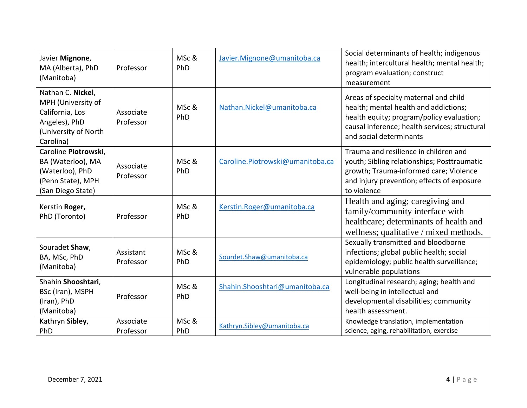| Javier Mignone,<br>MA (Alberta), PhD<br>(Manitoba)                                                               | Professor              | MSc &<br>PhD | Javier.Mignone@umanitoba.ca      | Social determinants of health; indigenous<br>health; intercultural health; mental health;<br>program evaluation; construct<br>measurement                                                               |
|------------------------------------------------------------------------------------------------------------------|------------------------|--------------|----------------------------------|---------------------------------------------------------------------------------------------------------------------------------------------------------------------------------------------------------|
| Nathan C. Nickel,<br>MPH (University of<br>California, Los<br>Angeles), PhD<br>(University of North<br>Carolina) | Associate<br>Professor | MSc &<br>PhD | Nathan.Nickel@umanitoba.ca       | Areas of specialty maternal and child<br>health; mental health and addictions;<br>health equity; program/policy evaluation;<br>causal inference; health services; structural<br>and social determinants |
| Caroline Piotrowski,<br>BA (Waterloo), MA<br>(Waterloo), PhD<br>(Penn State), MPH<br>(San Diego State)           | Associate<br>Professor | MSc &<br>PhD | Caroline.Piotrowski@umanitoba.ca | Trauma and resilience in children and<br>youth; Sibling relationships; Posttraumatic<br>growth; Trauma-informed care; Violence<br>and injury prevention; effects of exposure<br>to violence             |
| Kerstin Roger,<br>PhD (Toronto)                                                                                  | Professor              | MSc &<br>PhD | Kerstin.Roger@umanitoba.ca       | Health and aging; caregiving and<br>family/community interface with<br>healthcare; determinants of health and<br>wellness; qualitative / mixed methods.                                                 |
| Souradet Shaw,<br>BA, MSc, PhD<br>(Manitoba)                                                                     | Assistant<br>Professor | MSc &<br>PhD | Sourdet.Shaw@umanitoba.ca        | Sexually transmitted and bloodborne<br>infections; global public health; social<br>epidemiology; public health surveillance;<br>vulnerable populations                                                  |
| Shahin Shooshtari,<br>BSc (Iran), MSPH<br>(Iran), PhD<br>(Manitoba)                                              | Professor              | MSc &<br>PhD | Shahin.Shooshtari@umanitoba.ca   | Longitudinal research; aging; health and<br>well-being in intellectual and<br>developmental disabilities; community<br>health assessment.                                                               |
| Kathryn Sibley,<br>PhD                                                                                           | Associate<br>Professor | MSc &<br>PhD | Kathryn.Sibley@umanitoba.ca      | Knowledge translation, implementation<br>science, aging, rehabilitation, exercise                                                                                                                       |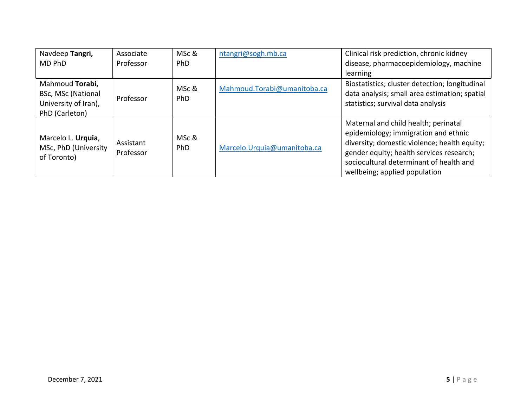| Navdeep Tangri,<br>MD PhD                                                              | Associate<br>Professor | MSc &<br><b>PhD</b> | ntangri@sogh.mb.ca          | Clinical risk prediction, chronic kidney<br>disease, pharmacoepidemiology, machine                                                                                                                                                                   |
|----------------------------------------------------------------------------------------|------------------------|---------------------|-----------------------------|------------------------------------------------------------------------------------------------------------------------------------------------------------------------------------------------------------------------------------------------------|
|                                                                                        |                        |                     |                             | learning                                                                                                                                                                                                                                             |
| Mahmoud Torabi,<br><b>BSc, MSc (National</b><br>University of Iran),<br>PhD (Carleton) | Professor              | MSc &<br>PhD        | Mahmoud.Torabi@umanitoba.ca | Biostatistics; cluster detection; longitudinal<br>data analysis; small area estimation; spatial<br>statistics; survival data analysis                                                                                                                |
| Marcelo L. Urquia,<br>MSc, PhD (University<br>of Toronto)                              | Assistant<br>Professor | MSc &<br>PhD        | Marcelo.Urquia@umanitoba.ca | Maternal and child health; perinatal<br>epidemiology; immigration and ethnic<br>diversity; domestic violence; health equity;<br>gender equity; health services research;<br>sociocultural determinant of health and<br>wellbeing; applied population |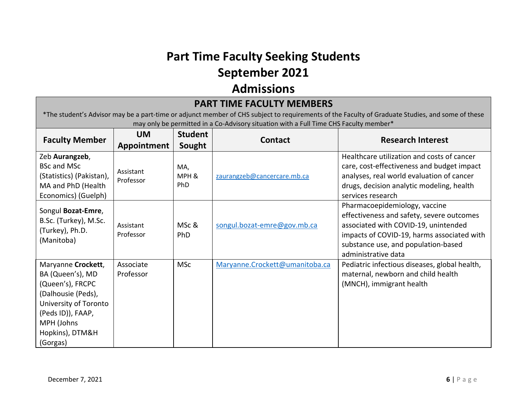## **Part Time Faculty Seeking Students September 2021**

## **Admissions**

| <b>PART TIME FACULTY MEMBERS</b>                                                                                                                                                                                                          |                          |                          |                                |                                                                                                                                                                                                                                |  |
|-------------------------------------------------------------------------------------------------------------------------------------------------------------------------------------------------------------------------------------------|--------------------------|--------------------------|--------------------------------|--------------------------------------------------------------------------------------------------------------------------------------------------------------------------------------------------------------------------------|--|
| *The student's Advisor may be a part-time or adjunct member of CHS subject to requirements of the Faculty of Graduate Studies, and some of these<br>may only be permitted in a Co-Advisory situation with a Full Time CHS Faculty member* |                          |                          |                                |                                                                                                                                                                                                                                |  |
| <b>Faculty Member</b>                                                                                                                                                                                                                     | <b>UM</b><br>Appointment | <b>Student</b><br>Sought | <b>Contact</b>                 | <b>Research Interest</b>                                                                                                                                                                                                       |  |
| Zeb Aurangzeb,<br><b>BSc and MSc</b><br>(Statistics) (Pakistan),<br>MA and PhD (Health<br>Economics) (Guelph)                                                                                                                             | Assistant<br>Professor   | MA,<br>MPH &<br>PhD      | zaurangzeb@cancercare.mb.ca    | Healthcare utilization and costs of cancer<br>care, cost-effectiveness and budget impact<br>analyses, real world evaluation of cancer<br>drugs, decision analytic modeling, health<br>services research                        |  |
| Songul Bozat-Emre,<br>B.Sc. (Turkey), M.Sc.<br>(Turkey), Ph.D.<br>(Manitoba)                                                                                                                                                              | Assistant<br>Professor   | MSc &<br>PhD             | songul.bozat-emre@gov.mb.ca    | Pharmacoepidemiology, vaccine<br>effectiveness and safety, severe outcomes<br>associated with COVID-19, unintended<br>impacts of COVID-19, harms associated with<br>substance use, and population-based<br>administrative data |  |
| Maryanne Crockett,<br>BA (Queen's), MD<br>(Queen's), FRCPC<br>(Dalhousie (Peds),<br>University of Toronto<br>(Peds ID)), FAAP,<br>MPH (Johns<br>Hopkins), DTM&H<br>(Gorgas)                                                               | Associate<br>Professor   | <b>MSc</b>               | Maryanne.Crockett@umanitoba.ca | Pediatric infectious diseases, global health,<br>maternal, newborn and child health<br>(MNCH), immigrant health                                                                                                                |  |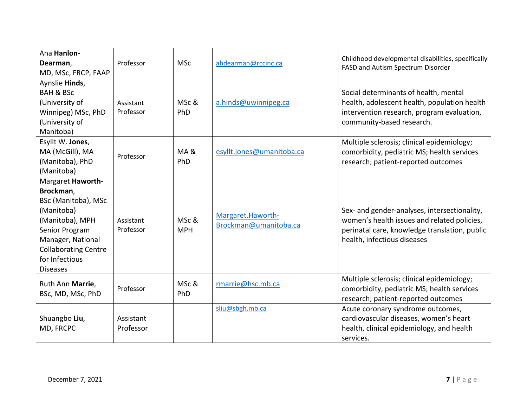| Ana Hanlon-                            |                        |            |                           | Childhood developmental disabilities, specifically                                    |
|----------------------------------------|------------------------|------------|---------------------------|---------------------------------------------------------------------------------------|
| Dearman,                               | Professor              | <b>MSc</b> | ahdearman@rccinc.ca       | FASD and Autism Spectrum Disorder                                                     |
| MD, MSc, FRCP, FAAP                    |                        |            |                           |                                                                                       |
| Aynslie Hinds,                         |                        |            |                           |                                                                                       |
| <b>BAH &amp; BSc</b><br>(University of |                        | MSc &      |                           | Social determinants of health, mental<br>health, adolescent health, population health |
| Winnipeg) MSc, PhD                     | Assistant<br>Professor | PhD        | a.hinds@uwinnipeg.ca      | intervention research, program evaluation,                                            |
| (University of                         |                        |            |                           | community-based research.                                                             |
| Manitoba)                              |                        |            |                           |                                                                                       |
| Esyllt W. Jones,                       |                        |            |                           | Multiple sclerosis; clinical epidemiology;                                            |
| MA (McGill), MA                        |                        | MA&        | esyllt.jones@umanitoba.ca | comorbidity, pediatric MS; health services                                            |
| (Manitoba), PhD                        | Professor              | PhD        |                           | research; patient-reported outcomes                                                   |
| (Manitoba)                             |                        |            |                           |                                                                                       |
| Margaret Haworth-                      |                        |            |                           |                                                                                       |
| Brockman,                              |                        |            |                           |                                                                                       |
| BSc (Manitoba), MSc                    |                        |            |                           |                                                                                       |
| (Manitoba)                             |                        |            | Margaret.Haworth-         | Sex- and gender-analyses, intersectionality,                                          |
| (Manitoba), MPH                        | Assistant              | MSc &      | Brockman@umanitoba.ca     | women's health issues and related policies,                                           |
| Senior Program                         | Professor              | <b>MPH</b> |                           | perinatal care, knowledge translation, public                                         |
| Manager, National                      |                        |            |                           | health, infectious diseases                                                           |
| <b>Collaborating Centre</b>            |                        |            |                           |                                                                                       |
| for Infectious                         |                        |            |                           |                                                                                       |
| <b>Diseases</b>                        |                        |            |                           |                                                                                       |
| Ruth Ann Marrie,                       |                        | MSc &      | rmarrie@hsc.mb.ca         | Multiple sclerosis; clinical epidemiology;                                            |
| BSc, MD, MSc, PhD                      | Professor              | PhD        |                           | comorbidity, pediatric MS; health services                                            |
|                                        |                        |            | sliu@sbgh.mb.ca           | research; patient-reported outcomes                                                   |
| Shuangbo Liu,                          | Assistant              |            |                           | Acute coronary syndrome outcomes,<br>cardiovascular diseases, women's heart           |
| MD, FRCPC                              | Professor              |            |                           | health, clinical epidemiology, and health                                             |
|                                        |                        |            |                           | services.                                                                             |
|                                        |                        |            |                           |                                                                                       |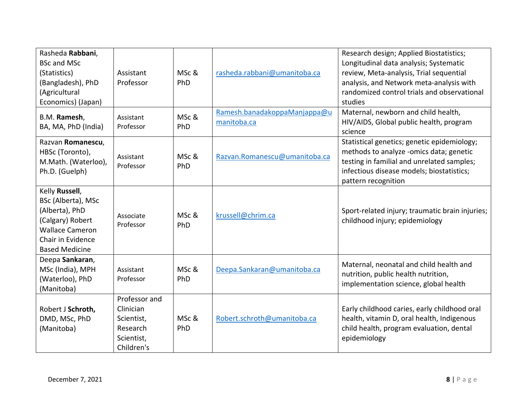| Rasheda Rabbani,<br><b>BSc and MSc</b><br>(Statistics)<br>(Bangladesh), PhD<br>(Agricultural<br>Economics) (Japan)                                 | Assistant<br>Professor                                                           | MSc &<br>PhD | rasheda.rabbani@umanitoba.ca                | Research design; Applied Biostatistics;<br>Longitudinal data analysis; Systematic<br>review, Meta-analysis, Trial sequential<br>analysis, and Network meta-analysis with<br>randomized control trials and observational<br>studies |
|----------------------------------------------------------------------------------------------------------------------------------------------------|----------------------------------------------------------------------------------|--------------|---------------------------------------------|------------------------------------------------------------------------------------------------------------------------------------------------------------------------------------------------------------------------------------|
| B.M. Ramesh,<br>BA, MA, PhD (India)                                                                                                                | Assistant<br>Professor                                                           | MSc &<br>PhD | Ramesh.banadakoppaManjappa@u<br>manitoba.ca | Maternal, newborn and child health,<br>HIV/AIDS, Global public health, program<br>science                                                                                                                                          |
| Razvan Romanescu,<br>HBSc (Toronto),<br>M.Math. (Waterloo),<br>Ph.D. (Guelph)                                                                      | Assistant<br>Professor                                                           | MSc &<br>PhD | Razvan.Romanescu@umanitoba.ca               | Statistical genetics; genetic epidemiology;<br>methods to analyze -omics data; genetic<br>testing in familial and unrelated samples;<br>infectious disease models; biostatistics;<br>pattern recognition                           |
| Kelly Russell,<br>BSc (Alberta), MSc<br>(Alberta), PhD<br>(Calgary) Robert<br><b>Wallace Cameron</b><br>Chair in Evidence<br><b>Based Medicine</b> | Associate<br>Professor                                                           | MSc &<br>PhD | krussell@chrim.ca                           | Sport-related injury; traumatic brain injuries;<br>childhood injury; epidemiology                                                                                                                                                  |
| Deepa Sankaran,<br>MSc (India), MPH<br>(Waterloo), PhD<br>(Manitoba)                                                                               | Assistant<br>Professor                                                           | MSc &<br>PhD | Deepa.Sankaran@umanitoba.ca                 | Maternal, neonatal and child health and<br>nutrition, public health nutrition,<br>implementation science, global health                                                                                                            |
| Robert J Schroth,<br>DMD, MSc, PhD<br>(Manitoba)                                                                                                   | Professor and<br>Clinician<br>Scientist,<br>Research<br>Scientist,<br>Children's | MSc &<br>PhD | Robert.schroth@umanitoba.ca                 | Early childhood caries, early childhood oral<br>health, vitamin D, oral health, Indigenous<br>child health, program evaluation, dental<br>epidemiology                                                                             |